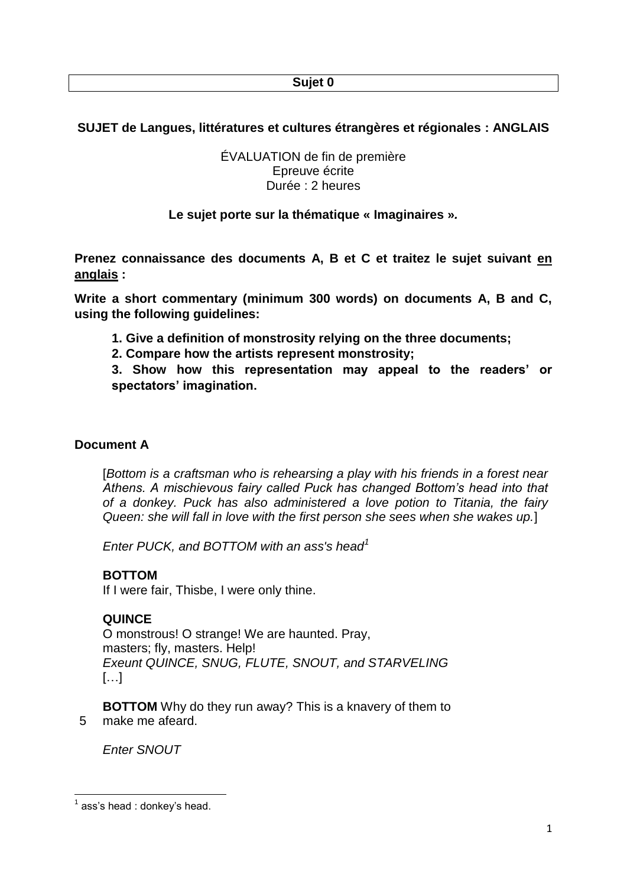**Sujet 0**

## **SUJET de Langues, littératures et cultures étrangères et régionales : ANGLAIS**

ÉVALUATION de fin de première Epreuve écrite Durée : 2 heures

## **Le sujet porte sur la thématique « Imaginaires »***.*

**Prenez connaissance des documents A, B et C et traitez le sujet suivant en anglais :** 

**Write a short commentary (minimum 300 words) on documents A, B and C, using the following guidelines:**

**1. Give a definition of monstrosity relying on the three documents;**

**2. Compare how the artists represent monstrosity;**

**3. Show how this representation may appeal to the readers' or spectators' imagination.**

### **Document A**

[*Bottom is a craftsman who is rehearsing a play with his friends in a forest near Athens. A mischievous fairy called Puck has changed Bottom's head into that of a donkey. Puck has also administered a love potion to Titania, the fairy Queen: she will fall in love with the first person she sees when she wakes up.*]

*Enter PUCK, and BOTTOM with an ass's head<sup>1</sup>*

#### **BOTTOM**

If I were fair, Thisbe, I were only thine.

#### **QUINCE**

5

O monstrous! O strange! We are haunted. Pray, masters; fly, masters. Help! *Exeunt QUINCE, SNUG, FLUTE, SNOUT, and STARVELING* […]

**BOTTOM** Why do they run away? This is a knavery of them to make me afeard.

*Enter SNOUT*

**<sup>.</sup>**  $<sup>1</sup>$  ass's head : donkey's head.</sup>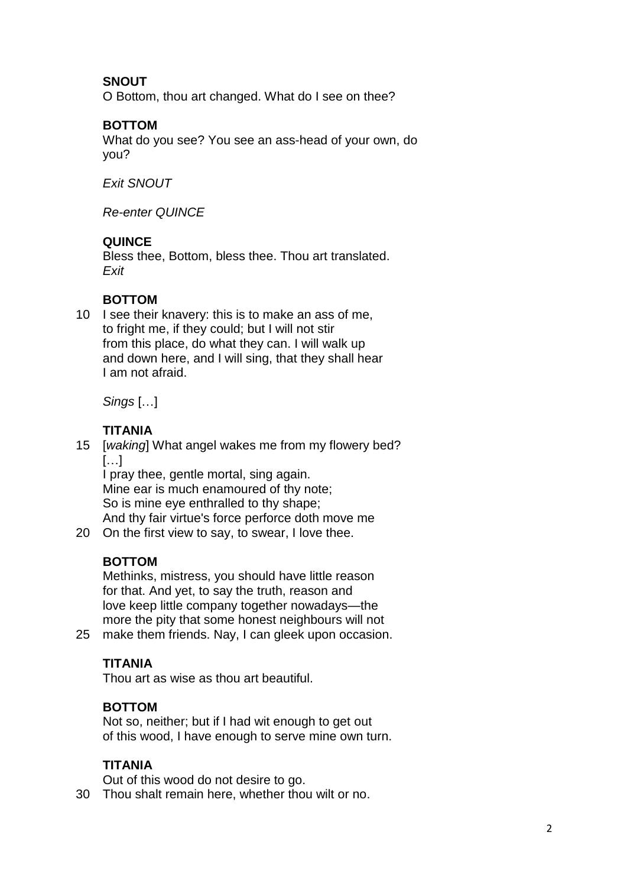## **SNOUT**

O Bottom, thou art changed. What do I see on thee?

## **BOTTOM**

What do you see? You see an ass-head of your own, do you?

*Exit SNOUT*

*Re-enter QUINCE*

#### **QUINCE**

Bless thee, Bottom, bless thee. Thou art translated. *Exit*

#### **BOTTOM**

10 I see their knavery: this is to make an ass of me, to fright me, if they could; but I will not stir from this place, do what they can. I will walk up and down here, and I will sing, that they shall hear I am not afraid.

*Sings* […]

## **TITANIA**

15 [*waking*] What angel wakes me from my flowery bed? […]

I pray thee, gentle mortal, sing again. Mine ear is much enamoured of thy note; So is mine eye enthralled to thy shape; And thy fair virtue's force perforce doth move me

20 On the first view to say, to swear, I love thee.

## **BOTTOM**

Methinks, mistress, you should have little reason for that. And yet, to say the truth, reason and love keep little company together nowadays—the more the pity that some honest neighbours will not

25 make them friends. Nay, I can gleek upon occasion.

# **TITANIA**

Thou art as wise as thou art beautiful.

#### **BOTTOM**

Not so, neither; but if I had wit enough to get out of this wood, I have enough to serve mine own turn.

## **TITANIA**

Out of this wood do not desire to go.

30 Thou shalt remain here, whether thou wilt or no.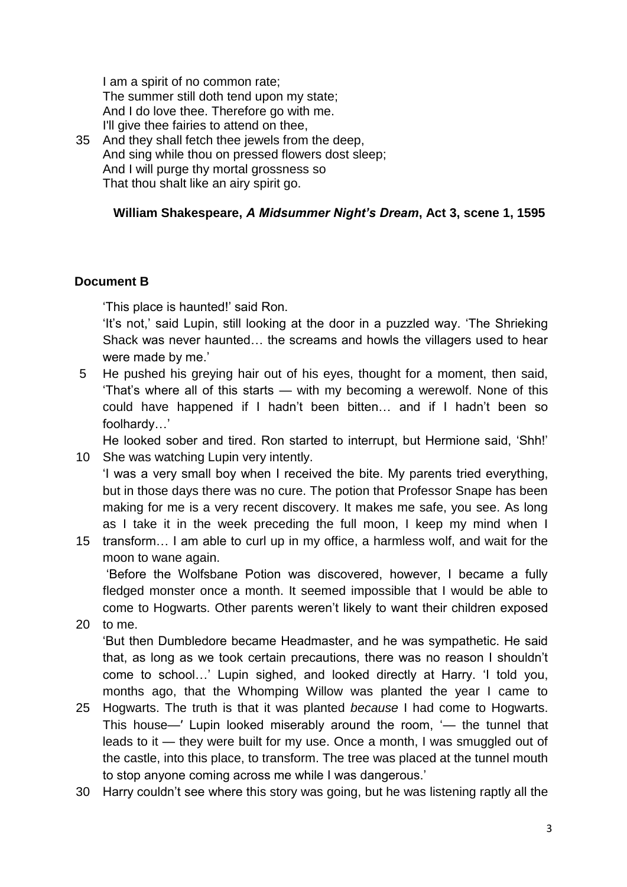I am a spirit of no common rate; The summer still doth tend upon my state; And I do love thee. Therefore go with me. I'll give thee fairies to attend on thee,

35 And they shall fetch thee jewels from the deep, And sing while thou on pressed flowers dost sleep; And I will purge thy mortal grossness so That thou shalt like an airy spirit go.

## **William Shakespeare,** *A Midsummer Night's Dream***, Act 3, scene 1, 1595**

# **Document B**

'This place is haunted!' said Ron.

'It's not,' said Lupin, still looking at the door in a puzzled way. 'The Shrieking Shack was never haunted… the screams and howls the villagers used to hear were made by me.'

5 He pushed his greying hair out of his eyes, thought for a moment, then said, 'That's where all of this starts — with my becoming a werewolf. None of this could have happened if I hadn't been bitten… and if I hadn't been so foolhardy…'

10 She was watching Lupin very intently. He looked sober and tired. Ron started to interrupt, but Hermione said, 'Shh!'

'I was a very small boy when I received the bite. My parents tried everything, but in those days there was no cure. The potion that Professor Snape has been making for me is a very recent discovery. It makes me safe, you see. As long as I take it in the week preceding the full moon, I keep my mind when I

15 transform… I am able to curl up in my office, a harmless wolf, and wait for the moon to wane again.

20 to me. 'Before the Wolfsbane Potion was discovered, however, I became a fully fledged monster once a month. It seemed impossible that I would be able to come to Hogwarts. Other parents weren't likely to want their children exposed

- 'But then Dumbledore became Headmaster, and he was sympathetic. He said that, as long as we took certain precautions, there was no reason I shouldn't come to school…' Lupin sighed, and looked directly at Harry. 'I told you, months ago, that the Whomping Willow was planted the year I came to
- 25 Hogwarts. The truth is that it was planted *because* I had come to Hogwarts. This house—′ Lupin looked miserably around the room, '— the tunnel that leads to it — they were built for my use. Once a month, I was smuggled out of the castle, into this place, to transform. The tree was placed at the tunnel mouth to stop anyone coming across me while I was dangerous.'
- 30 Harry couldn't see where this story was going, but he was listening raptly all the